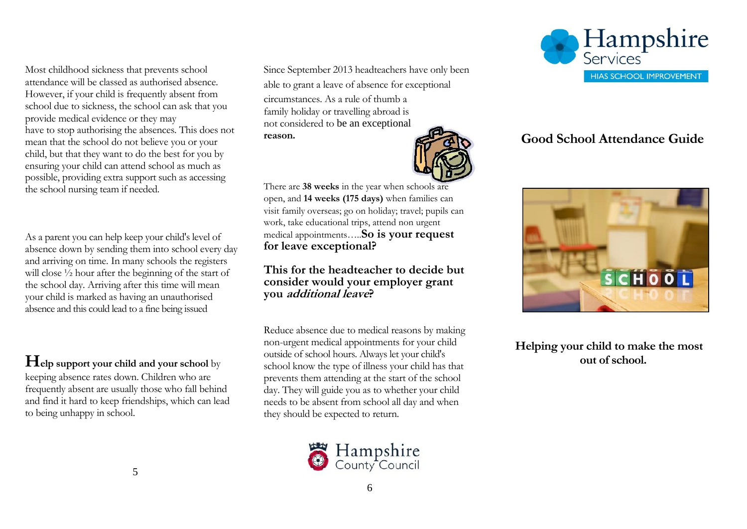Most childhood sickness that prevents school attendance will be classed as authorised absence. However, if your child is frequently absent from school due to sickness, the school can ask that you provide medical evidence or they may have to stop authorising the absences. This does not mean that the school do not believe you or your child, but that they want to do the best for you by ensuring your child can attend school as much as possible, providing extra support such as accessing the school nursing team if needed.

As a parent you can help keep your child's level of absence down by sending them into school every day and arriving on time. In many schools the registers will close  $\frac{1}{2}$  hour after the beginning of the start of the school day. Arriving after this time will mean your child is marked as having an unauthorised absence and this could lead to a fine being issued

**Help support your child and your school** by keeping absence rates down. Children who are frequently absent are usually those who fall behind and find it hard to keep friendships, which can lead to being unhappy in school.

Since September 2013 headteachers have only been able to grant a leave of absence for exceptional circumstances. As a rule of thumb a family holiday or travelling abroad is not considered to be an exceptional **reason.**



There are **38 weeks** in the year when schools are open, and **14 weeks (175 days)** when families can visit family overseas; go on holiday; travel; pupils can work, take educational trips, attend non urgent medical appointments…..**So is your request for leave exceptional?** 

**This for the headteacher to decide but consider would your employer grant you additional leave?**

Reduce absence due to medical reasons by making non-urgent medical appointments for your child outside of school hours. Always let your child's school know the type of illness your child has that prevents them attending at the start of the school day. They will guide you as to whether your child needs to be absent from school all day and when they should be expected to return.





## **Good School Attendance Guide**



**Helping your child to make the most out of school.**